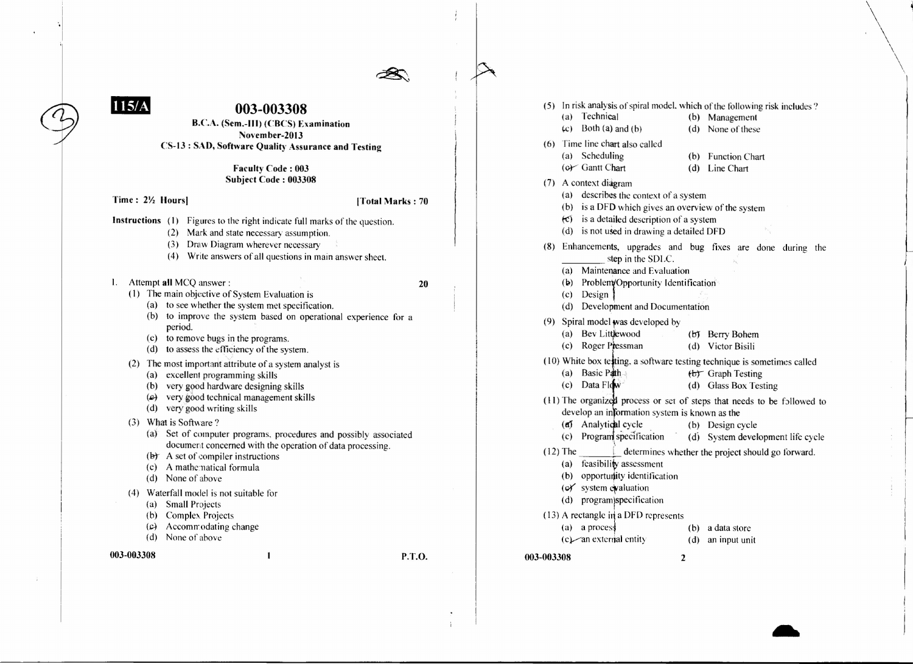

## **003-003308**

B.C.A. (Sem.-III) (CRCS) Examination November-20l3 CS-l3 : SAD, Software Quality Assurance and Testing

> Faculty Code: 003 Subject Code: 003308

Time: 2\% Hours] ITotal Marks: 70

 $\mathbf$ 

- Instructions (1) Figures to the right indicate full marks of the question.
	- (2) Mark and state necessary assumption.
	- (3) Draw Diagram wherever necessary
	- (4) Write answers of all questions in main answer sheet.
- I. Attempt all MCQ answer: <sup>20</sup>
	- (I) The main objective of System Evaluation is
		- (a) to see whether the system met specification.
		- (b) to improve the system based on operational experience for a period.
		- (c) to remove bugs in the programs.
		- (d) to assess the efficiency of the system.
	- (2) The most important attribute of a system analyst is
		- (a) excellent programming skills
		- (b) very good hardware designing skills
		- $(c)$  very good technical management skills
		- (d) very good writing skills
	- (3) What is Software?
		- (a) Set of computer programs, procedures and possibly associated document concerned with the operation of data processing.
		- $(b)$  A set of compiler instructions
		- (c) A mathematical formula
		- (d) None of above
	- (4) Waterfall model is not suitable tor
		- (a) Small Projects
		- (b) Complex Projects
		- (c) Accommodating change
		- (d) None of above

003-003308 P.T.O.

| <b>003-003308</b> |     |            | $\overline{2}$                                                                       |     |                                                                          |
|-------------------|-----|------------|--------------------------------------------------------------------------------------|-----|--------------------------------------------------------------------------|
|                   |     |            | $(c)$ an external entity                                                             | (d) | an input unit                                                            |
|                   |     | (a)        | a process                                                                            | (b) | a data store                                                             |
|                   |     |            | $(13)$ A rectangle in a DFD represents                                               |     |                                                                          |
|                   |     | (d)        | program)specification                                                                |     |                                                                          |
|                   |     |            | (of system evaluation                                                                |     |                                                                          |
|                   |     |            | (b) opportunity identification                                                       |     |                                                                          |
|                   |     | (a)        | feasibility assessment                                                               |     |                                                                          |
|                   |     | $(12)$ The |                                                                                      |     | determines whether the project should go forward.                        |
|                   |     |            | (c) Program specification                                                            | (d) | System development life cycle                                            |
|                   |     |            | (a) Analytical cycle                                                                 | (b) | Design cycle                                                             |
|                   |     |            | develop an information system is known as the                                        |     |                                                                          |
|                   |     |            |                                                                                      |     | (11) The organized process or set of steps that needs to be followed to  |
|                   |     |            | $(c)$ Data Flow                                                                      |     | (d) Glass Box Testing                                                    |
|                   |     |            | (a) Basic Path                                                                       |     | (b) Graph Testing                                                        |
|                   |     |            |                                                                                      |     | (10) White box testing, a software testing technique is sometimes called |
|                   |     | (c)        | Roger Pressman                                                                       |     | (d) Victor Bisili                                                        |
|                   |     |            | (a) Bev Littlewood                                                                   |     | (b) Berry Bohem                                                          |
|                   |     |            | (9) Spiral model was developed by                                                    |     |                                                                          |
|                   |     | (d)        | Development and Documentation                                                        |     |                                                                          |
|                   |     | (c)        | Design                                                                               |     |                                                                          |
|                   |     | (b)        | Problem/Opportunity Identification                                                   |     |                                                                          |
|                   |     | (a)        | Maintenance and Evaluation                                                           |     |                                                                          |
|                   | (8) |            | Enhancements, upgrades and bug fixes are done<br>step in the SDLC.                   |     | during the                                                               |
|                   |     |            |                                                                                      |     |                                                                          |
|                   |     | (d)        | $(c)$ is a detailed description of a system<br>is not used in drawing a detailed DFD |     |                                                                          |
|                   |     |            | (b) is a DFD which gives an overview of the system                                   |     |                                                                          |
|                   |     | (a)        | describes the context of a system                                                    |     |                                                                          |
|                   |     |            | (7) A context diagram                                                                |     |                                                                          |
|                   |     |            | $(c)$ Gantt Chart                                                                    | (d) | Line Chart                                                               |
|                   |     | (a)        | Scheduling                                                                           | (b) | <b>Function Chart</b>                                                    |
|                   | (6) |            | Time line chart also called                                                          |     |                                                                          |
|                   |     | (c)        | Both (a) and (b)                                                                     | (d) | None of these                                                            |
|                   |     | (a)        | Technical                                                                            | (b) | Management                                                               |
|                   | (5) |            |                                                                                      |     | In risk analysis of spiral model, which of the following risk includes?  |
|                   |     |            |                                                                                      |     |                                                                          |

 $\overline{\phantom{0}}$ 

 $\bigg\}$